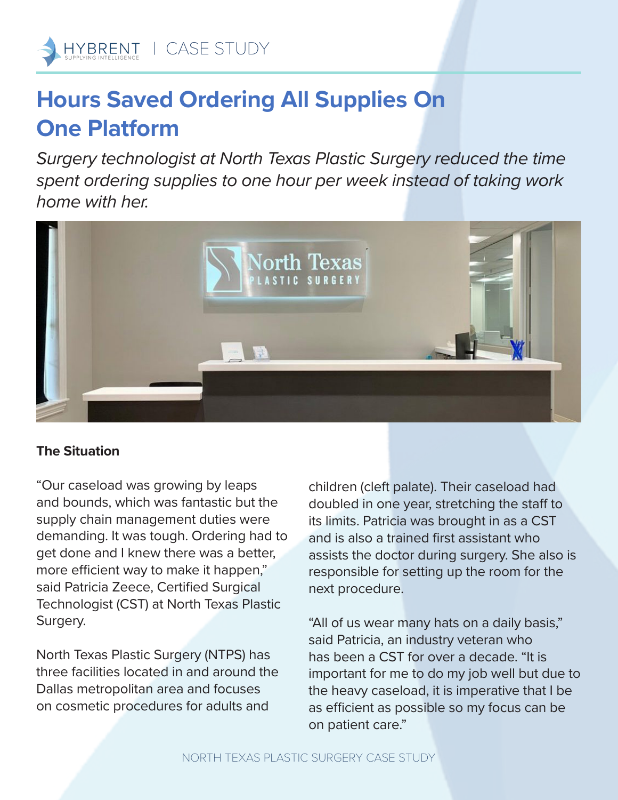## **Hours Saved Ordering All Supplies On One Platform**

*Surgery technologist at North Texas Plastic Surgery reduced the time spent ordering supplies to one hour per week instead of taking work home with her.*



## **The Situation**

"Our caseload was growing by leaps and bounds, which was fantastic but the supply chain management duties were demanding. It was tough. Ordering had to get done and I knew there was a better, more efficient way to make it happen," said Patricia Zeece, Certified Surgical Technologist (CST) at North Texas Plastic Surgery.

North Texas Plastic Surgery (NTPS) has three facilities located in and around the Dallas metropolitan area and focuses on cosmetic procedures for adults and

children (cleft palate). Their caseload had doubled in one year, stretching the staff to its limits. Patricia was brought in as a CST and is also a trained first assistant who assists the doctor during surgery. She also is responsible for setting up the room for the next procedure.

"All of us wear many hats on a daily basis," said Patricia, an industry veteran who has been a CST for over a decade. "It is important for me to do my job well but due to the heavy caseload, it is imperative that I be as efficient as possible so my focus can be on patient care."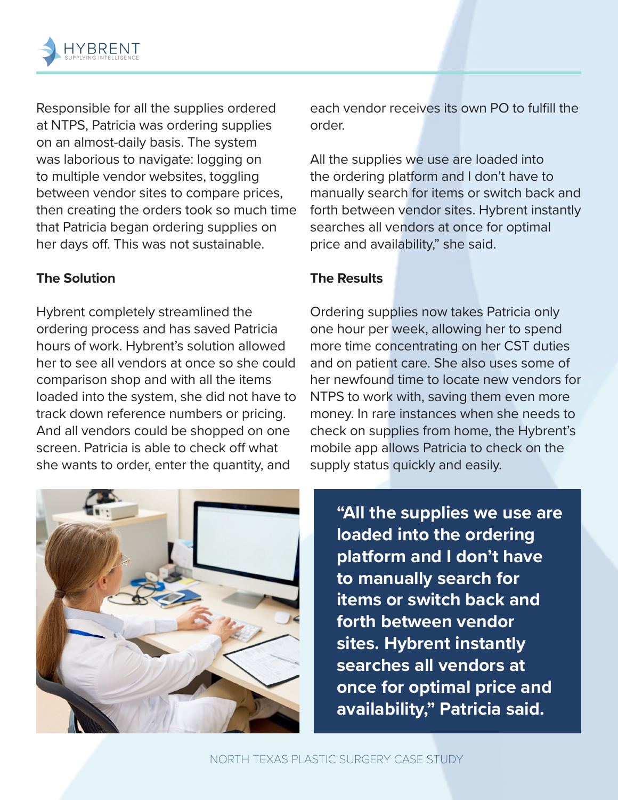

Responsible for all the supplies ordered at NTPS, Patricia was ordering supplies on an almost-daily basis. The system was laborious to navigate: logging on to multiple vendor websites, toggling between vendor sites to compare prices, then creating the orders took so much time that Patricia began ordering supplies on her days off. This was not sustainable.

## **The Solution**

Hybrent completely streamlined the ordering process and has saved Patricia hours of work. Hybrent's solution allowed her to see all vendors at once so she could comparison shop and with all the items loaded into the system, she did not have to track down reference numbers or pricing. And all vendors could be shopped on one screen. Patricia is able to check off what she wants to order, enter the quantity, and



each vendor receives its own PO to fulfill the order.

All the supplies we use are loaded into the ordering platform and I don't have to manually search for items or switch back and forth between vendor sites. Hybrent instantly searches all vendors at once for optimal price and availability," she said.

## **The Results**

Ordering supplies now takes Patricia only one hour per week, allowing her to spend more time concentrating on her CST duties and on patient care. She also uses some of her newfound time to locate new vendors for NTPS to work with, saving them even more money. In rare instances when she needs to check on supplies from home, the Hybrent's mobile app allows Patricia to check on the supply status quickly and easily.

**"All the supplies we use are loaded into the ordering platform and I don't have to manually search for items or switch back and forth between vendor sites. Hybrent instantly searches all vendors at once for optimal price and availability," Patricia said.**